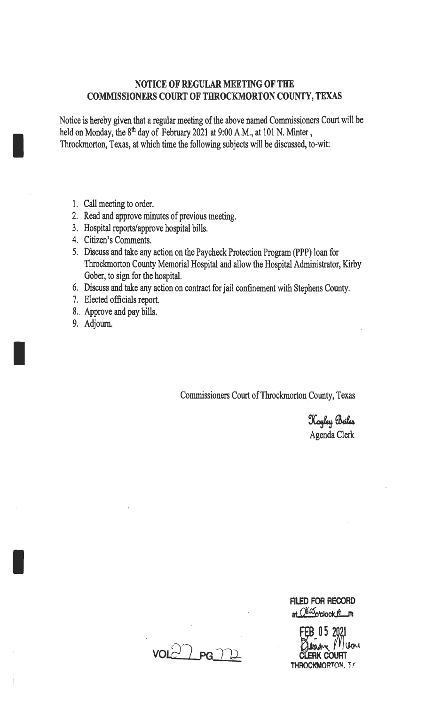## NOTICE OF REGULAR MEETING OF THE COMMISSIONERS COURT OF THROCKMORTON COUNTY, TEXAS

Notice is hereby given that a regular meeting of the above named Commissioners Court will be held on Monday, the 8<sup>th</sup> day of February 2021 at 9:00 A.M., at 101 N. Minter, Throckmorton, Texas, at which time the following subjects will be discussed, to-wit:

1. Call meeting to order.

I

I

I

- 2. Read and approve minutes of previous meeting.
- 3. Hospital reports/approve hospital bills.
- 4. Citizen's Comments.
- 5. Discuss and take any action on the Paycheck Protection Program (PPP) loan for Throckmorton County Memorial Hospital and allow the Hospital Administrator, Kirby Gober, to sign for the hospital.
- 6. Discuss and take any action on contract for jail confinement with Stephens County.
- 7. Elected officials report.
- 8.. Approve and pay bills.
- 9. Adjourn.

Commissioners Court of Throckmorton County, Texas

Kayley Briles Agenda Clerk

FILED FOR RECORD at Oswo'clock **B**\_m

FEB 05 2021<br>RX = 2021 THROCKMORTON, TY

 $vol27$  PG  $\gamma$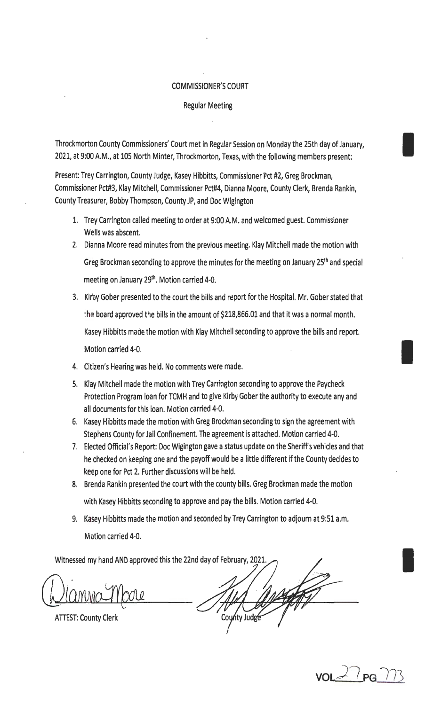## COMMISSIONER'S COURT

## Regular Meeting

Throckmorton County Commissioners' Court met in Regular Session on Monday the 25th day of January, I 2021, at 9:00 A.M., at 105 North Minter, Throckmorton, Texas, with the following members present:

Present: Trey Carrington, County Judge, Kasey Hibbitts, Commissioner Pct #2, Greg Brockman, Commissioner Pct#3, Klay Mitchell, Commissioner Pct#4, Dianna Moore, County Clerk, Brenda Rankin, County Treasurer, Bobby Thompson, County JP, and Doc Wigington

- 1. Trey Carrington called meeting to order at 9:00 A.M. and welcomed guest. Commissioner Wells was abscent.
- 2. Dianna Moore read minutes from the previous meeting. Klay Mitchell made the motion with Greg Brockman seconding to approve the minutes for the meeting on January 25<sup>th</sup> and special meeting on January 29<sup>th</sup>. Motion carried 4-0.
- 3. Kirby Gober presented to the court the bills and report for the Hospital. Mr. Gober stated that the board approved the bills in the amount of \$218,866.01 and that it was a normal month. Kasey Hibbitts made the motion with Klay Mitchell seconding to approve the bills and report. Motion carried 4-0.
- 4. Citizen's Hearing was held. No comments were made.
- 5. Klay Mitchell made the motion with Trey Carrington seconding to approve the Paycheck Protection Program loan for TCMH and to give Kirby Gober the authority to execute any and all documents for this loan. Motion carried 4-0.
- 6. Kasey Hibbitts made the motion with Greg Brockman seconding to sign the agreement with Stephens County for Jail Confinement. The agreement is attached. Motion carried 4-0.
- 7. Elected Official's Report: Doc Wigington gave a status update on the Sheriffs vehicles and that he checked on keeping one and the payoff would be a little different if the County decides to keep one for Pct 2. Further discussions will be held.
- 8. Brenda Rankin presented the court with the county bills. Greg Brockman made the motion with Kasey Hibbitts seconding to approve and pay the bills. Motion carried 4-0.
- 9. Kasey Hibbitts made the motion and seconded by Trey Carrington to adjourn at 9:51 a.m. Motion carried 4-0.

Witnessed my hand AND approved this the 22nd day of February, 2021.

ATTEST: County Clerk

County Judge

**VOL;)\_/** PG 1/3

I

I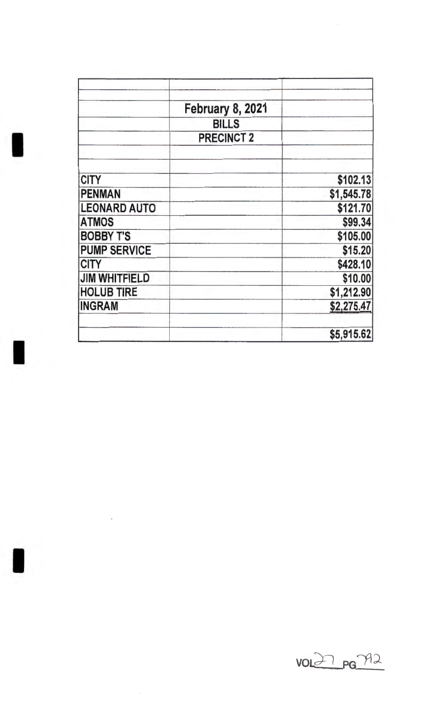|                      | <b>February 8, 2021</b> |            |
|----------------------|-------------------------|------------|
|                      | <b>BILLS</b>            |            |
|                      | <b>PRECINCT 2</b>       |            |
| <b>CITY</b>          |                         | \$102.13   |
| <b>PENMAN</b>        |                         | \$1,545.78 |
| <b>LEONARD AUTO</b>  |                         | \$121.70   |
| <b>ATMOS</b>         |                         | \$99.34    |
| <b>BOBBY T'S</b>     |                         | \$105.00   |
| <b>PUMP SERVICE</b>  |                         | \$15.20    |
| <b>CITY</b>          |                         | \$428.10   |
| <b>JIM WHITFIELD</b> |                         | \$10.00    |
| <b>HOLUB TIRE</b>    |                         | \$1,212.90 |
| <b>INGRAM</b>        |                         | \$2,275.47 |
|                      |                         | \$5,915.62 |

I

I

l,



 $\ddot{\phantom{a}}$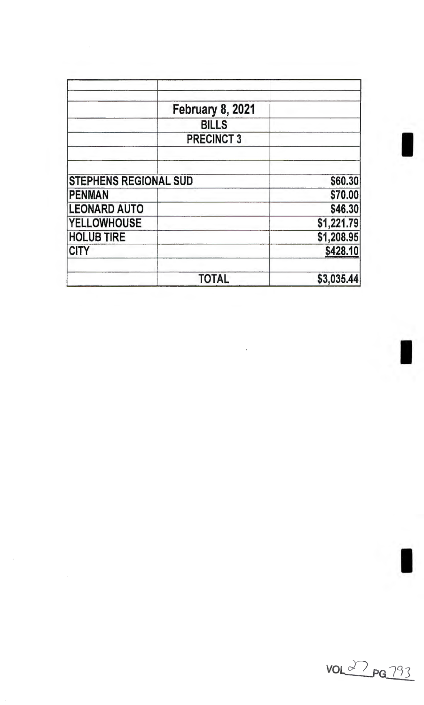|                              | <b>February 8, 2021</b> |            |
|------------------------------|-------------------------|------------|
|                              | <b>BILLS</b>            |            |
|                              | <b>PRECINCT 3</b>       |            |
|                              |                         |            |
| <b>STEPHENS REGIONAL SUD</b> |                         | \$60.30    |
| <b>PENMAN</b>                |                         | \$70.00    |
| <b>LEONARD AUTO</b>          |                         | \$46.30    |
| <b>YELLOWHOUSE</b>           |                         | \$1,221.79 |
| <b>HOLUB TIRE</b>            |                         | \$1,208.95 |
| <b>CITY</b>                  |                         | \$428.10   |
|                              | <b>TOTAL</b>            | \$3,035.44 |

 $\frac{1}{2}$ 

 $\hat{\mathcal{L}}$ 



I

I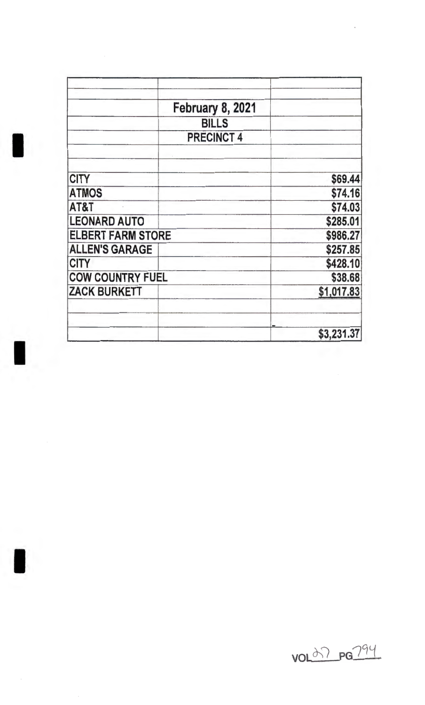|                          | February 8, 2021  |            |
|--------------------------|-------------------|------------|
|                          | <b>BILLS</b>      |            |
|                          | <b>PRECINCT 4</b> |            |
| <b>CITY</b>              |                   | \$69.44    |
| <b>ATMOS</b>             |                   | \$74.16    |
| AT&T                     |                   | \$74.03    |
| <b>LEONARD AUTO</b>      |                   | \$285.01   |
| <b>ELBERT FARM STORE</b> |                   | \$986.27   |
| <b>ALLEN'S GARAGE</b>    |                   | \$257.85   |
| <b>CITY</b>              |                   | \$428.10   |
| <b>COW COUNTRY FUEL</b>  |                   | \$38.68    |
| <b>ZACK BURKETT</b>      |                   | \$1,017.83 |
|                          |                   | \$3,231.37 |

VOL07 PG794

 $\epsilon$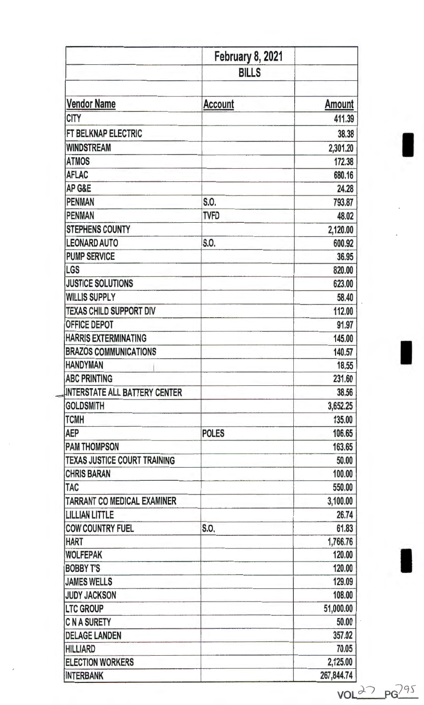|                                           | <b>February 8, 2021</b> |               |
|-------------------------------------------|-------------------------|---------------|
|                                           | <b>BILLS</b>            |               |
|                                           |                         |               |
| <b>Vendor Name</b>                        | Account                 | <b>Amount</b> |
| <b>CITY</b>                               |                         | 411.39        |
| FT BELKNAP ELECTRIC                       |                         | 38,38         |
| <b>WINDSTREAM</b>                         |                         | 2,301.20      |
| <b>ATMOS</b>                              |                         | 172.38        |
| <b>AFLAC</b>                              |                         | 680.16        |
| AP G&E                                    |                         | 24.28         |
| <b>PENMAN</b>                             | S.O.                    | 793.87        |
| <b>PENMAN</b>                             | TVFD                    | 48.02         |
| <b>STEPHENS COUNTY</b>                    |                         | 2,120.00      |
| <b>LEONARD AUTO</b>                       | S.O.                    | 600.92        |
| <b>PUMP SERVICE</b>                       |                         | 36.95         |
|                                           |                         | 820.00        |
| <b>JUSTICE SOLUTIONS</b>                  |                         | 623.00        |
| <b>WILLIS SUPPLY</b>                      |                         | 58.40         |
| <b>TEXAS CHILD SUPPORT DIV</b>            |                         | 112.00        |
| <b>OFFICE DEPOT</b>                       |                         | 91.97         |
| <b>HARRIS EXTERMINATING</b>               |                         | 145.00        |
| <b>BRAZOS COMMUNICATIONS</b>              |                         | 140.57        |
| <b>HANDYMAN</b>                           |                         | 18.55         |
| <b>ABC PRINTING</b>                       |                         | 231.60        |
| <b>INTERSTATE ALL BATTERY CENTER</b>      |                         | 38.56         |
| <b>GOLDSMITH</b>                          |                         | 3,652.25      |
| <b>TCMH</b>                               |                         | 135.00        |
|                                           | <b>POLES</b>            | 106.65        |
| <b>PAM THOMPSON</b>                       |                         | 163.65        |
| <b>TEXAS JUSTICE COURT TRAINING</b>       |                         | 50.00         |
| <b>CHRIS BARAN</b>                        |                         | 100.00        |
|                                           |                         | 550.00        |
| <b>TAC</b><br>TARRANT CO MEDICAL EXAMINER |                         | 3,100.00      |
| <b>LILLIAN LITTLE</b>                     |                         | 26.74         |
| <b>COW COUNTRY FUEL</b>                   | S.O.                    | 61.83         |
| <b>HART</b>                               |                         | 1,766.76      |
| <b>WOLFEPAK</b>                           |                         | 120.00        |
| <b>BOBBY T'S</b>                          |                         | 120.00        |
| <b>JAMES WELLS</b>                        |                         | 129.09        |
| <b>JUDY JACKSON</b>                       |                         | 108.00        |
| <b>LTC GROUP</b>                          |                         | 51,000.00     |
| <b>C N A SURETY</b>                       |                         | 50.00         |
| <b>DELAGE LANDEN</b>                      |                         | 357.02        |
| <b>HILLIARD</b>                           |                         | 70.05         |
| <b>ELECTION WORKERS</b>                   |                         | 2,125.00      |
| <b>INTERBANK</b>                          |                         | 267,844.74    |

 $VOL$   $27$   $PG^{295}$ 

I